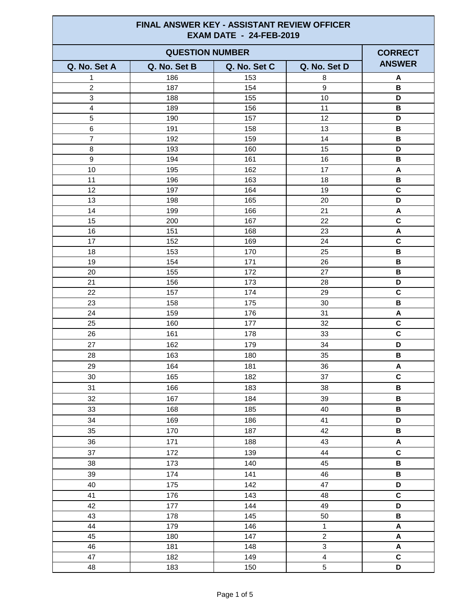| <b>FINAL ANSWER KEY - ASSISTANT REVIEW OFFICER</b><br><b>EXAM DATE - 24-FEB-2019</b> |              |              |                         |                           |  |
|--------------------------------------------------------------------------------------|--------------|--------------|-------------------------|---------------------------|--|
| <b>QUESTION NUMBER</b>                                                               |              |              |                         | <b>CORRECT</b>            |  |
| Q. No. Set A                                                                         | Q. No. Set B | Q. No. Set C | Q. No. Set D            | <b>ANSWER</b>             |  |
| 1                                                                                    | 186          | 153          | 8                       | A                         |  |
| $\overline{2}$                                                                       | 187          | 154          | 9                       | B                         |  |
| $\sqrt{3}$                                                                           | 188          | 155          | 10                      | D                         |  |
| $\overline{\mathbf{4}}$                                                              | 189          | 156          | 11                      | В                         |  |
| 5                                                                                    | 190          | 157          | 12                      | D                         |  |
| 6                                                                                    | 191          | 158          | 13                      | В                         |  |
| $\overline{7}$                                                                       | 192          | 159          | 14                      | B                         |  |
| 8                                                                                    | 193          | 160          | 15                      | D                         |  |
| 9                                                                                    | 194          | 161          | 16                      | $\, {\bf B}$              |  |
| 10                                                                                   | 195          | 162          | 17                      | A                         |  |
| 11                                                                                   | 196          | 163          | 18                      | $\, {\bf B}$              |  |
| 12                                                                                   | 197          | 164          | 19                      | $\mathbf C$               |  |
| 13                                                                                   | 198          | 165          | 20                      | D                         |  |
| 14                                                                                   | 199          | 166          | 21                      | A                         |  |
| 15                                                                                   | 200          | 167          | 22                      | $\mathbf c$               |  |
| 16                                                                                   | 151          | 168          | 23                      | $\boldsymbol{\mathsf{A}}$ |  |
| 17                                                                                   | 152          | 169          | 24                      | $\mathbf c$               |  |
| 18                                                                                   | 153          | 170          | 25                      | $\, {\bf B}$              |  |
| 19                                                                                   | 154          | 171          | 26                      | $\, {\bf B}$              |  |
| 20                                                                                   | 155          | 172          | 27                      | В                         |  |
| 21                                                                                   | 156          | 173          | 28                      | D                         |  |
| 22                                                                                   | 157          | 174          | 29                      | C                         |  |
| 23                                                                                   | 158          | 175          | 30                      | $\, {\bf B}$              |  |
| 24                                                                                   | 159          | 176          | 31                      | A                         |  |
| 25                                                                                   | 160          | 177          | 32                      | $\mathbf c$               |  |
| 26                                                                                   | 161          | 178          | 33                      | $\mathbf C$               |  |
| 27                                                                                   | 162          | 179          | 34                      | D                         |  |
| 28                                                                                   | 163          | 180          | 35                      | В                         |  |
| 29                                                                                   | 164          | 181          | 36                      | A                         |  |
| 30                                                                                   | 165          | 182          | 37                      | $\mathbf c$               |  |
| 31                                                                                   | 166          | 183          | 38                      | $\, {\bf B} \,$           |  |
| 32                                                                                   | 167          | 184          | 39                      | В                         |  |
| 33                                                                                   | 168          | 185          | 40                      | $\, {\bf B}$              |  |
| 34                                                                                   | 169          | 186          | 41                      | D                         |  |
| 35                                                                                   | 170          | 187          | 42                      | $\, {\bf B} \,$           |  |
| 36                                                                                   | 171          | 188          | 43                      | $\blacktriangle$          |  |
| 37                                                                                   | 172          | 139          | 44                      | $\mathbf C$               |  |
| 38                                                                                   | 173          | 140          | 45                      | В                         |  |
| 39                                                                                   | 174          | 141          | 46                      | $\, {\bf B}$              |  |
| 40                                                                                   | 175          | 142          | 47                      | D                         |  |
| 41                                                                                   | 176          | 143          | 48                      | $\mathbf C$               |  |
| 42                                                                                   | 177          | 144          | 49                      | D                         |  |
| 43                                                                                   | 178          | 145          | 50                      | B                         |  |
| 44                                                                                   | 179          | 146          | $\mathbf{1}$            | $\boldsymbol{\mathsf{A}}$ |  |
| 45                                                                                   | 180          | 147          | $\overline{2}$          | A                         |  |
| 46                                                                                   | 181          | 148          | 3                       | A                         |  |
| 47                                                                                   | 182          | 149          | $\overline{\mathbf{4}}$ | $\mathbf C$               |  |
| 48                                                                                   | 183          | 150          | 5                       | D                         |  |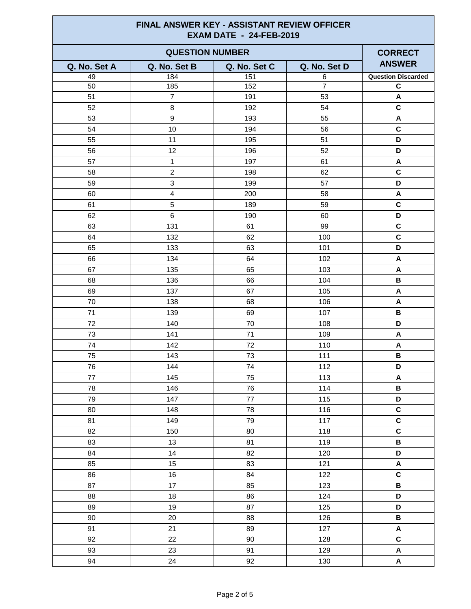| FINAL ANSWER KEY - ASSISTANT REVIEW OFFICER<br><b>EXAM DATE - 24-FEB-2019</b> |                         |              |                |                           |
|-------------------------------------------------------------------------------|-------------------------|--------------|----------------|---------------------------|
| <b>QUESTION NUMBER</b>                                                        |                         |              |                | <b>CORRECT</b>            |
| Q. No. Set A                                                                  | Q. No. Set B            | Q. No. Set C | Q. No. Set D   | <b>ANSWER</b>             |
| 49                                                                            | 184                     | 151          | 6              | <b>Question Discarded</b> |
| 50                                                                            | 185                     | 152          | $\overline{7}$ | $\mathbf c$               |
| 51                                                                            | $\overline{7}$          | 191          | 53             | A                         |
| 52                                                                            | 8                       | 192          | 54             | $\mathbf c$               |
| 53                                                                            | 9                       | 193          | 55             | A                         |
| 54                                                                            | 10                      | 194          | 56             | $\mathbf{C}$              |
| 55                                                                            | 11                      | 195          | 51             | D                         |
| 56                                                                            | 12                      | 196          | 52             | D                         |
| 57                                                                            | $\mathbf 1$             | 197          | 61             | A                         |
| 58                                                                            | $\overline{2}$          | 198          | 62             | $\mathbf c$               |
| 59                                                                            | 3                       | 199          | 57             | D                         |
| 60                                                                            | $\overline{\mathbf{4}}$ | 200          | 58             | A                         |
| 61                                                                            | 5                       | 189          | 59             | $\mathbf C$               |
| 62                                                                            | 6                       | 190          | 60             | D                         |
| 63                                                                            | 131                     | 61           | 99             | $\mathbf c$               |
| 64                                                                            | 132                     | 62           | 100            | $\mathbf c$               |
| 65                                                                            | 133                     | 63           | 101            | D                         |
| 66                                                                            | 134                     | 64           | 102            | A                         |
| 67                                                                            | 135                     | 65           | 103            | A                         |
| 68                                                                            | 136                     | 66           | 104            | В                         |
| 69                                                                            | 137                     | 67           | 105            | A                         |
| 70                                                                            | 138                     | 68           | 106            | A                         |
| 71                                                                            | 139                     | 69           | 107            | В                         |
| 72                                                                            | 140                     | 70           | 108            | D                         |
| 73                                                                            | 141                     | 71           | 109            | A                         |
| 74                                                                            | 142                     | 72           | 110            | A                         |
| 75                                                                            | 143                     | 73           | 111            | B                         |
| 76                                                                            | 144                     | 74           | 112            | D                         |
| 77                                                                            | 145                     | 75           | 113            | $\pmb{\mathsf{A}}$        |
| 78                                                                            | 146                     | 76           | 114            | $\, {\bf B} \,$           |
| 79                                                                            | 147                     | 77           | 115            | D                         |
| 80                                                                            | 148                     | 78           | 116            | $\mathbf C$               |
| 81                                                                            | 149                     | 79           | 117            | $\mathbf C$               |
| 82                                                                            | 150                     | 80           | 118            | $\mathbf c$               |
| 83                                                                            | 13                      | 81           | 119            | $\, {\bf B} \,$           |
| 84                                                                            | 14                      | 82           | 120            | D                         |
| 85                                                                            | 15                      | 83           | 121            | A                         |
| 86                                                                            | 16                      | 84           | 122            | $\mathbf C$               |
| 87                                                                            | 17                      | 85           | 123            | $\, {\bf B}$              |
| 88                                                                            | 18                      | 86           | 124            | D                         |
| 89                                                                            | 19                      | 87           | 125            | D                         |
| 90                                                                            | 20                      | 88           | 126            | В                         |
| 91                                                                            | 21                      | 89           | 127            | $\boldsymbol{\mathsf{A}}$ |
| 92                                                                            | 22                      | 90           | 128            | $\mathbf C$               |
| 93                                                                            | 23                      | 91           | 129            | A                         |
| 94                                                                            | 24                      | 92           | 130            | $\boldsymbol{\mathsf{A}}$ |
|                                                                               |                         |              |                |                           |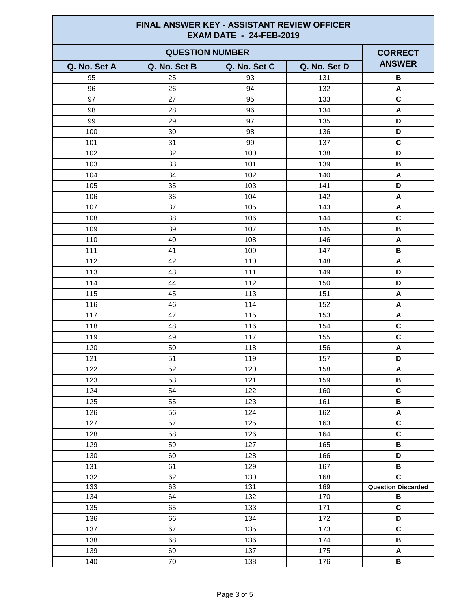| <b>FINAL ANSWER KEY - ASSISTANT REVIEW OFFICER</b><br><b>EXAM DATE - 24-FEB-2019</b> |              |              |              |                           |
|--------------------------------------------------------------------------------------|--------------|--------------|--------------|---------------------------|
| <b>QUESTION NUMBER</b>                                                               |              |              |              | <b>CORRECT</b>            |
| Q. No. Set A                                                                         | Q. No. Set B | Q. No. Set C | Q. No. Set D | <b>ANSWER</b>             |
| 95                                                                                   | 25           | 93           | 131          | B                         |
| 96                                                                                   | 26           | 94           | 132          | A                         |
| 97                                                                                   | 27           | 95           | 133          | $\mathbf c$               |
| 98                                                                                   | 28           | 96           | 134          | A                         |
| 99                                                                                   | 29           | 97           | 135          | D                         |
| 100                                                                                  | 30           | 98           | 136          | D                         |
| 101                                                                                  | 31           | 99           | 137          | $\mathbf C$               |
| 102                                                                                  | 32           | 100          | 138          | D                         |
| 103                                                                                  | 33           | 101          | 139          | B                         |
| 104                                                                                  | 34           | 102          | 140          | A                         |
| 105                                                                                  | 35           | 103          | 141          | D                         |
| 106                                                                                  | 36           | 104          | 142          | A                         |
| 107                                                                                  | 37           | 105          | 143          | A                         |
| 108                                                                                  | 38           | 106          | 144          | $\mathbf C$               |
| 109                                                                                  | 39           | 107          | 145          | В                         |
| 110                                                                                  | 40           | 108          | 146          | A                         |
| 111                                                                                  | 41           | 109          | 147          | В                         |
| 112                                                                                  | 42           | 110          | 148          | A                         |
| 113                                                                                  | 43           | 111          | 149          | D                         |
| 114                                                                                  | 44           | 112          | 150          | D                         |
| 115                                                                                  | 45           | 113          | 151          | A                         |
| 116                                                                                  | 46           | 114          | 152          | A                         |
| 117                                                                                  | 47           | 115          | 153          | A                         |
| 118                                                                                  | 48           | 116          | 154          | $\mathbf C$               |
| 119                                                                                  | 49           | 117          | 155          | $\mathbf C$               |
| 120                                                                                  | 50           | 118          | 156          | Α                         |
| 121                                                                                  | 51           | 119          | 157          | D                         |
| 122                                                                                  | 52           | 120          | 158          | $\boldsymbol{\mathsf{A}}$ |
| 123                                                                                  | 53           | 121          | 159          | В                         |
| 124                                                                                  | 54           | 122          | 160          | $\mathbf c$               |
| 125                                                                                  | 55           | 123          | 161          | $\, {\bf B} \,$           |
| 126                                                                                  | 56           | 124          | 162          | A                         |
| 127                                                                                  | 57           | 125          | 163          | $\mathbf C$               |
| 128                                                                                  | 58           | 126          | 164          | $\mathbf C$               |
| 129                                                                                  | 59           | 127          | 165          | B                         |
| 130                                                                                  | 60           | 128          | 166          | D                         |
| 131                                                                                  | 61           | 129          | 167          | В                         |
| 132                                                                                  | 62           | 130          | 168          | $\mathbf c$               |
| 133                                                                                  | 63           | 131          | 169          | <b>Question Discarded</b> |
| 134                                                                                  | 64           | 132          | 170          | B                         |
| 135                                                                                  | 65           | 133          | 171          | $\mathbf C$               |
| 136                                                                                  | 66           | 134          | 172          | D                         |
| 137                                                                                  | 67           | 135          | 173          | $\mathbf c$               |
| 138                                                                                  | 68           | 136          | 174          | B                         |
| 139                                                                                  | 69           | 137          | 175          | A                         |
| 140                                                                                  | 70           | 138          | 176          | $\, {\bf B}$              |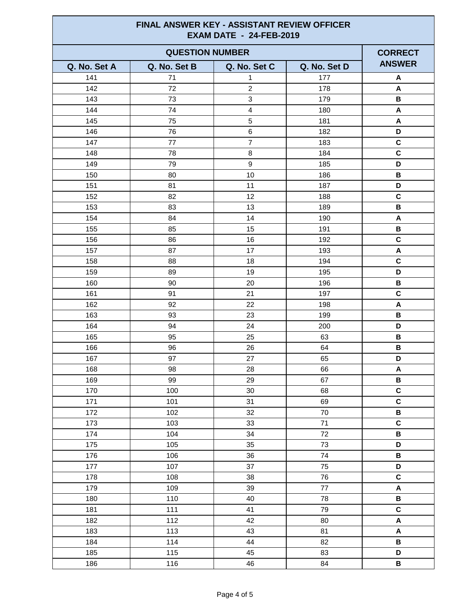| <b>FINAL ANSWER KEY - ASSISTANT REVIEW OFFICER</b><br><b>EXAM DATE - 24-FEB-2019</b> |              |                |              |                           |
|--------------------------------------------------------------------------------------|--------------|----------------|--------------|---------------------------|
| <b>QUESTION NUMBER</b>                                                               |              |                |              | <b>CORRECT</b>            |
| Q. No. Set A                                                                         | Q. No. Set B | Q. No. Set C   | Q. No. Set D | <b>ANSWER</b>             |
| 141                                                                                  | 71           | $\mathbf{1}$   | 177          | A                         |
| 142                                                                                  | 72           | $\overline{2}$ | 178          | A                         |
| 143                                                                                  | 73           | 3              | 179          | В                         |
| 144                                                                                  | 74           | $\overline{4}$ | 180          | A                         |
| 145                                                                                  | 75           | 5              | 181          | A                         |
| 146                                                                                  | 76           | 6              | 182          | D                         |
| 147                                                                                  | 77           | $\overline{7}$ | 183          | $\mathbf c$               |
| 148                                                                                  | 78           | 8              | 184          | $\mathbf c$               |
| 149                                                                                  | 79           | 9              | 185          | D                         |
| 150                                                                                  | 80           | 10             | 186          | $\, {\bf B}$              |
| 151                                                                                  | 81           | 11             | 187          | D                         |
| 152                                                                                  | 82           | 12             | 188          | $\mathbf c$               |
| 153                                                                                  | 83           | 13             | 189          | $\, {\bf B}$              |
| 154                                                                                  | 84           | 14             | 190          | A                         |
| 155                                                                                  | 85           | 15             | 191          | В                         |
| 156                                                                                  | 86           | 16             | 192          | $\mathbf c$               |
| 157                                                                                  | 87           | 17             | 193          | A                         |
| 158                                                                                  | 88           | 18             | 194          | $\mathbf c$               |
| 159                                                                                  | 89           | 19             | 195          | D                         |
| 160                                                                                  | 90           | 20             | 196          | В                         |
| 161                                                                                  | 91           | 21             | 197          | $\mathbf c$               |
| 162                                                                                  | 92           | 22             | 198          | Α                         |
| 163                                                                                  | 93           | 23             | 199          | В                         |
| 164                                                                                  | 94           | 24             | 200          | D                         |
| 165                                                                                  | 95           | 25             | 63           | В                         |
| 166                                                                                  | 96           | 26             | 64           | B                         |
| 167                                                                                  | 97           | 27             | 65           | D                         |
| 168                                                                                  | 98           | 28             | 66           | $\boldsymbol{\mathsf{A}}$ |
| 169                                                                                  | 99           | 29             | 67           | В                         |
| 170                                                                                  | 100          | $30\,$         | 68           | $\mathbf c$               |
| 171                                                                                  | 101          | 31             | 69           | $\mathbf C$               |
| 172                                                                                  | 102          | 32             | $70\,$       | $\, {\bf B} \,$           |
| 173                                                                                  | 103          | 33             | 71           | $\mathbf c$               |
| 174                                                                                  | 104          | 34             | 72           | $\, {\bf B} \,$           |
| 175                                                                                  | 105          | 35             | 73           | D                         |
| 176                                                                                  | 106          | 36             | ${\bf 74}$   | $\, {\bf B} \,$           |
| 177                                                                                  | 107          | 37             | 75           | D                         |
| 178                                                                                  | 108          | 38             | 76           | $\mathbf c$               |
| 179                                                                                  | 109          | 39             | $77\,$       | $\boldsymbol{\mathsf{A}}$ |
| 180                                                                                  | 110          | 40             | 78           | В                         |
| 181                                                                                  | 111          | 41             | 79           | $\mathbf c$               |
| 182                                                                                  | 112          | 42             | 80           | $\boldsymbol{\mathsf{A}}$ |
| 183                                                                                  | 113          | 43             | 81           | A                         |
| 184                                                                                  | 114          | 44             | 82           | $\, {\bf B}$              |
| 185                                                                                  | 115          | 45             | 83           | D                         |
| 186                                                                                  | 116          | 46             | 84           | $\, {\bf B} \,$           |